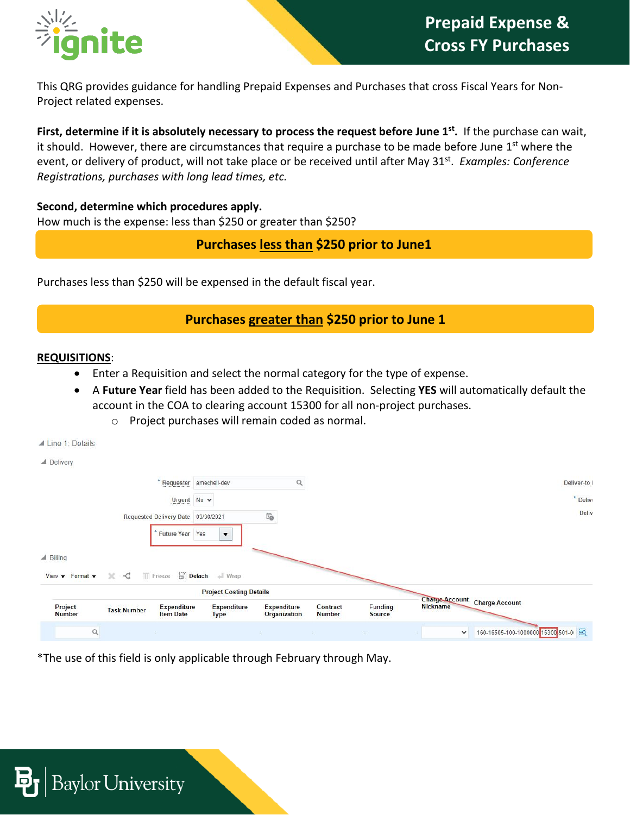

This QRG provides guidance for handling Prepaid Expenses and Purchases that cross Fiscal Years for Non-Project related expenses.

**First, determine if it is absolutely necessary to process the request before June 1<sup>st</sup>. If the purchase can wait,** it should. However, there are circumstances that require a purchase to be made before June  $1<sup>st</sup>$  where the event, or delivery of product, will not take place or be received until after May 31<sup>st</sup>. *Examples: Conference Registrations, purchases with long lead times, etc.*

**Second, determine which procedures apply.** How much is the expense: less than \$250 or greater than \$250?

**Purchases less than \$250 prior to June1**

Purchases less than \$250 will be expensed in the default fiscal year.

## **Purchases greater than \$250 prior to June 1**

#### **REQUISITIONS**:

▲ Line 1: Details

- Enter a Requisition and select the normal category for the type of expense.
- A **Future Year** field has been added to the Requisition. Selecting **YES** will automatically default the account in the COA to clearing account 15300 for all non-project purchases.
	- o Project purchases will remain coded as normal.

| $\blacktriangle$ Delivery                             |                                            |                    |                                                 |                    |               |                |                                   |                                     |              |
|-------------------------------------------------------|--------------------------------------------|--------------------|-------------------------------------------------|--------------------|---------------|----------------|-----------------------------------|-------------------------------------|--------------|
|                                                       | ×                                          |                    | Requester amechell-dev                          |                    |               |                |                                   |                                     | Deliver-to I |
|                                                       |                                            | Urgent $No \sim$   |                                                 |                    |               |                |                                   |                                     | * Delive     |
|                                                       | Requested Delivery Date 03/30/2021         |                    |                                                 | Ë                  |               |                |                                   |                                     | Deliv        |
| $\triangle$ Billing                                   |                                            | Future Year Yes    | $\overline{\mathbf{v}}$                         |                    |               |                |                                   |                                     |              |
| View $\blacktriangledown$ Format $\blacktriangledown$ | <b>III</b> Freeze<br>$\times$ :<br>$\prec$ |                    | Detach + Wrap<br><b>Project Costing Details</b> |                    |               |                |                                   |                                     |              |
| Project                                               | <b>Task Number</b>                         | <b>Expenditure</b> | <b>Expenditure</b>                              | <b>Expenditure</b> | Contract      | <b>Funding</b> | <b>Charge Account</b><br>Nickname | <b>Charge Account</b>               |              |
| <b>Number</b><br>$\hbox{\scriptsize\textsf{Q}}$       |                                            | <b>Item Date</b>   | <b>Type</b>                                     | Organization       | <b>Number</b> | <b>Source</b>  | $\checkmark$                      | 160-16505-100-1000000-15300-501-0 图 |              |

\*The use of this field is only applicable through February through May.